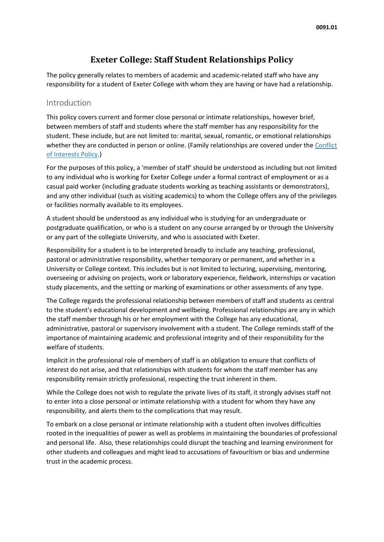# **Exeter College: Staff Student Relationships Policy**

The policy generally relates to members of academic and academic-related staff who have any responsibility for a student of Exeter College with whom they are having or have had a relationship.

#### [Introduction](https://hr.admin.ox.ac.uk/staff-student-relationships#collapse1582146)

This policy covers current and former close personal or intimate relationships, however brief, between members of staff and students where the staff member has any responsibility for the student. These include, but are not limited to: marital, sexual, romantic, or emotional relationships whether they are conducted in person or online. (Family relationships are covered under the [Conflict](https://researchsupport.admin.ox.ac.uk/governance/integrity/conflict)  [of Interests Policy.](https://researchsupport.admin.ox.ac.uk/governance/integrity/conflict))

For the purposes of this policy, a 'member of staff' should be understood as including but not limited to any individual who is working for Exeter College under a formal contract of employment or as a casual paid worker (including graduate students working as teaching assistants or demonstrators), and any other individual (such as visiting academics) to whom the College offers any of the privileges or facilities normally available to its employees.

A student should be understood as any individual who is studying for an undergraduate or postgraduate qualification, or who is a student on any course arranged by or through the University or any part of the collegiate University, and who is associated with Exeter.

Responsibility for a student is to be interpreted broadly to include any teaching, professional, pastoral or administrative responsibility, whether temporary or permanent, and whether in a University or College context. This includes but is not limited to lecturing, supervising, mentoring, overseeing or advising on projects, work or laboratory experience, fieldwork, internships or vacation study placements, and the setting or marking of examinations or other assessments of any type.

The College regards the professional relationship between members of staff and students as central to the student's educational development and wellbeing. Professional relationships are any in which the staff member through his or her employment with the College has any educational, administrative, pastoral or supervisory involvement with a student. The College reminds staff of the importance of maintaining academic and professional integrity and of their responsibility for the welfare of students.

Implicit in the professional role of members of staff is an obligation to ensure that conflicts of interest do not arise, and that relationships with students for whom the staff member has any responsibility remain strictly professional, respecting the trust inherent in them.

While the College does not wish to regulate the private lives of its staff, it strongly advises staff not to enter into a close personal or intimate relationship with a student for whom they have any responsibility, and alerts them to the complications that may result.

To embark on a close personal or intimate relationship with a student often involves difficulties rooted in the inequalities of power as well as problems in maintaining the boundaries of professional and personal life. Also, these relationships could disrupt the teaching and learning environment for other students and colleagues and might lead to accusations of favouritism or bias and undermine trust in the academic process.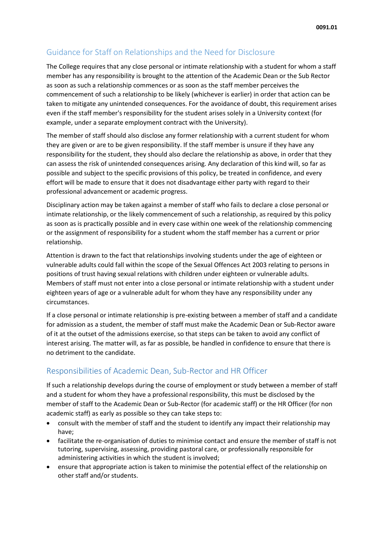# [Guidance for Staff on Relationships and the Need for Disclosure](https://hr.admin.ox.ac.uk/staff-student-relationships#collapse1582156)

The College requires that any close personal or intimate relationship with a student for whom a staff member has any responsibility is brought to the attention of the Academic Dean or the Sub Rector as soon as such a relationship commences or as soon as the staff member perceives the commencement of such a relationship to be likely (whichever is earlier) in order that action can be taken to mitigate any unintended consequences. For the avoidance of doubt, this requirement arises even if the staff member's responsibility for the student arises solely in a University context (for example, under a separate employment contract with the University).

The member of staff should also disclose any former relationship with a current student for whom they are given or are to be given responsibility. If the staff member is unsure if they have any responsibility for the student, they should also declare the relationship as above, in order that they can assess the risk of unintended consequences arising. Any declaration of this kind will, so far as possible and subject to the specific provisions of this policy, be treated in confidence, and every effort will be made to ensure that it does not disadvantage either party with regard to their professional advancement or academic progress.

Disciplinary action may be taken against a member of staff who fails to declare a close personal or intimate relationship, or the likely commencement of such a relationship, as required by this policy as soon as is practically possible and in every case within one week of the relationship commencing or the assignment of responsibility for a student whom the staff member has a current or prior relationship.

Attention is drawn to the fact that relationships involving students under the age of eighteen or vulnerable adults could fall within the scope of the Sexual Offences Act 2003 relating to persons in positions of trust having sexual relations with children under eighteen or vulnerable adults. Members of staff must not enter into a close personal or intimate relationship with a student under eighteen years of age or a vulnerable adult for whom they have any responsibility under any circumstances.

If a close personal or intimate relationship is pre-existing between a member of staff and a candidate for admission as a student, the member of staff must make the Academic Dean or Sub-Rector aware of it at the outset of the admissions exercise, so that steps can be taken to avoid any conflict of interest arising. The matter will, as far as possible, be handled in confidence to ensure that there is no detriment to the candidate.

# [Responsibilities](https://hr.admin.ox.ac.uk/staff-student-relationships#collapse1582166) of Academic Dean, Sub-Rector and HR Officer

If such a relationship develops during the course of employment or study between a member of staff and a student for whom they have a professional responsibility, this must be disclosed by the member of staff to the Academic Dean or Sub-Rector (for academic staff) or the HR Officer (for non academic staff) as early as possible so they can take steps to:

- consult with the member of staff and the student to identify any impact their relationship may have;
- facilitate the re-organisation of duties to minimise contact and ensure the member of staff is not tutoring, supervising, assessing, providing pastoral care, or professionally responsible for administering activities in which the student is involved;
- ensure that appropriate action is taken to minimise the potential effect of the relationship on other staff and/or students.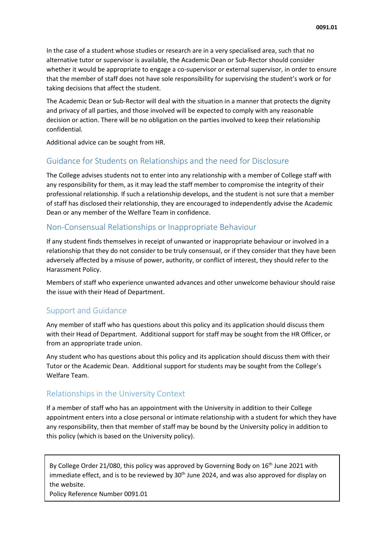In the case of a student whose studies or research are in a very specialised area, such that no alternative tutor or supervisor is available, the Academic Dean or Sub-Rector should consider whether it would be appropriate to engage a co-supervisor or external supervisor, in order to ensure that the member of staff does not have sole responsibility for supervising the student's work or for taking decisions that affect the student.

The Academic Dean or Sub-Rector will deal with the situation in a manner that protects the dignity and privacy of all parties, and those involved will be expected to comply with any reasonable decision or action. There will be no obligation on the parties involved to keep their relationship confidential.

Additional advice can be sought from HR.

### [Guidance for Students on Relationships and the need for Disclosure](https://hr.admin.ox.ac.uk/staff-student-relationships#collapse1582766)

The College advises students not to enter into any relationship with a member of College staff with any responsibility for them, as it may lead the staff member to compromise the integrity of their professional relationship. If such a relationship develops, and the student is not sure that a member of staff has disclosed their relationship, they are encouraged to independently advise the Academic Dean or any member of the Welfare Team in confidence.

#### [Non-Consensual Relationships or Inappropriate Behaviour](https://hr.admin.ox.ac.uk/staff-student-relationships#collapse1582776)

If any student finds themselves in receipt of unwanted or inappropriate behaviour or involved in a relationship that they do not consider to be truly consensual, or if they consider that they have been adversely affected by a misuse of power, authority, or conflict of interest, they should refer to the Harassment Policy.

Members of staff who experience unwanted advances and other unwelcome behaviour should raise the issue with their Head of Department.

### [Support and Guidance](https://hr.admin.ox.ac.uk/staff-student-relationships#collapse1582786)

Any member of staff who has questions about this policy and its application should discuss them with their Head of Department. Additional support for staff may be sought from the HR Officer, or from an appropriate trade union.

Any student who has questions about this policy and its application should discuss them with their Tutor or the Academic Dean. Additional support for students may be sought from the College's Welfare Team.

### [Relationships in the University Context](https://hr.admin.ox.ac.uk/staff-student-relationships#collapse1582796)

If a member of staff who has an appointment with the University in addition to their College appointment enters into a close personal or intimate relationship with a student for which they have any responsibility, then that member of staff may be bound by the University policy in addition to this policy (which is based on the University policy).

By College Order 21/080, this policy was approved by Governing Body on 16<sup>th</sup> June 2021 with immediate effect, and is to be reviewed by  $30<sup>th</sup>$  June 2024, and was also approved for display on the website.

Policy Reference Number 0091.01